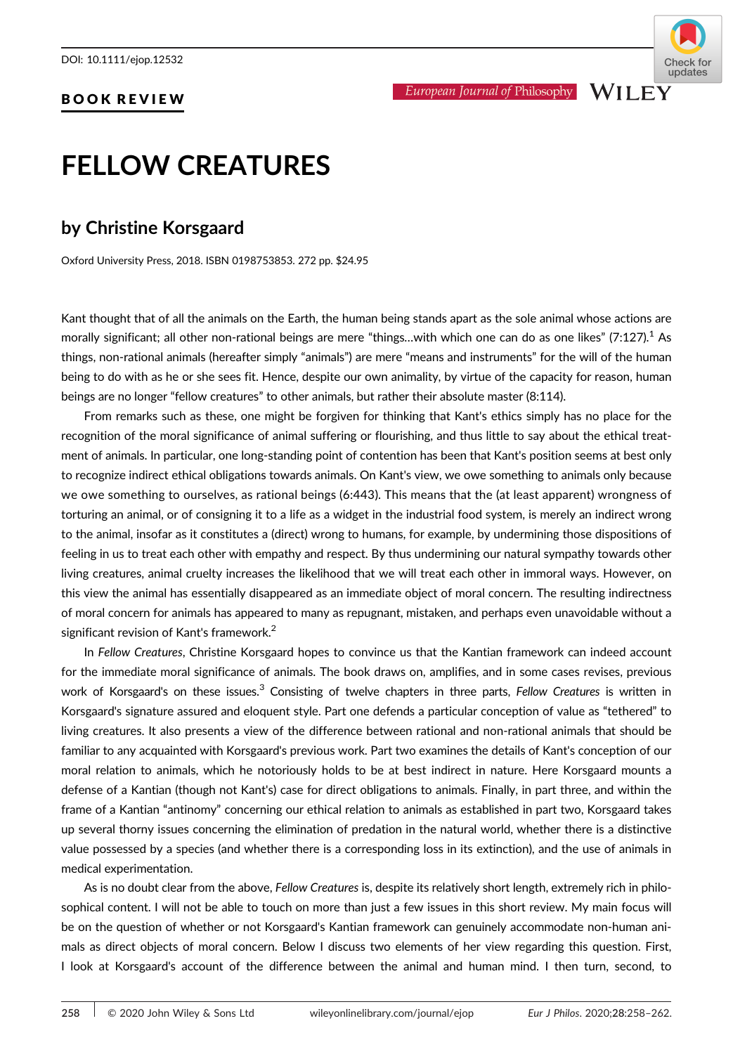## BOOK REVIEW



# FELLOW CREATURES

## by Christine Korsgaard

Oxford University Press, 2018. ISBN 0198753853. 272 pp. \$24.95

Kant thought that of all the animals on the Earth, the human being stands apart as the sole animal whose actions are morally significant; all other non-rational beings are mere "things...with which one can do as one likes"  $(7:127)$ .<sup>1</sup> As things, non-rational animals (hereafter simply "animals") are mere "means and instruments" for the will of the human being to do with as he or she sees fit. Hence, despite our own animality, by virtue of the capacity for reason, human beings are no longer "fellow creatures" to other animals, but rather their absolute master (8:114).

From remarks such as these, one might be forgiven for thinking that Kant's ethics simply has no place for the recognition of the moral significance of animal suffering or flourishing, and thus little to say about the ethical treatment of animals. In particular, one long-standing point of contention has been that Kant's position seems at best only to recognize indirect ethical obligations towards animals. On Kant's view, we owe something to animals only because we owe something to ourselves, as rational beings (6:443). This means that the (at least apparent) wrongness of torturing an animal, or of consigning it to a life as a widget in the industrial food system, is merely an indirect wrong to the animal, insofar as it constitutes a (direct) wrong to humans, for example, by undermining those dispositions of feeling in us to treat each other with empathy and respect. By thus undermining our natural sympathy towards other living creatures, animal cruelty increases the likelihood that we will treat each other in immoral ways. However, on this view the animal has essentially disappeared as an immediate object of moral concern. The resulting indirectness of moral concern for animals has appeared to many as repugnant, mistaken, and perhaps even unavoidable without a significant revision of Kant's framework.<sup>2</sup>

In Fellow Creatures, Christine Korsgaard hopes to convince us that the Kantian framework can indeed account for the immediate moral significance of animals. The book draws on, amplifies, and in some cases revises, previous work of Korsgaard's on these issues.<sup>3</sup> Consisting of twelve chapters in three parts, Fellow Creatures is written in Korsgaard's signature assured and eloquent style. Part one defends a particular conception of value as "tethered" to living creatures. It also presents a view of the difference between rational and non-rational animals that should be familiar to any acquainted with Korsgaard's previous work. Part two examines the details of Kant's conception of our moral relation to animals, which he notoriously holds to be at best indirect in nature. Here Korsgaard mounts a defense of a Kantian (though not Kant's) case for direct obligations to animals. Finally, in part three, and within the frame of a Kantian "antinomy" concerning our ethical relation to animals as established in part two, Korsgaard takes up several thorny issues concerning the elimination of predation in the natural world, whether there is a distinctive value possessed by a species (and whether there is a corresponding loss in its extinction), and the use of animals in medical experimentation.

As is no doubt clear from the above, Fellow Creatures is, despite its relatively short length, extremely rich in philosophical content. I will not be able to touch on more than just a few issues in this short review. My main focus will be on the question of whether or not Korsgaard's Kantian framework can genuinely accommodate non-human animals as direct objects of moral concern. Below I discuss two elements of her view regarding this question. First, I look at Korsgaard's account of the difference between the animal and human mind. I then turn, second, to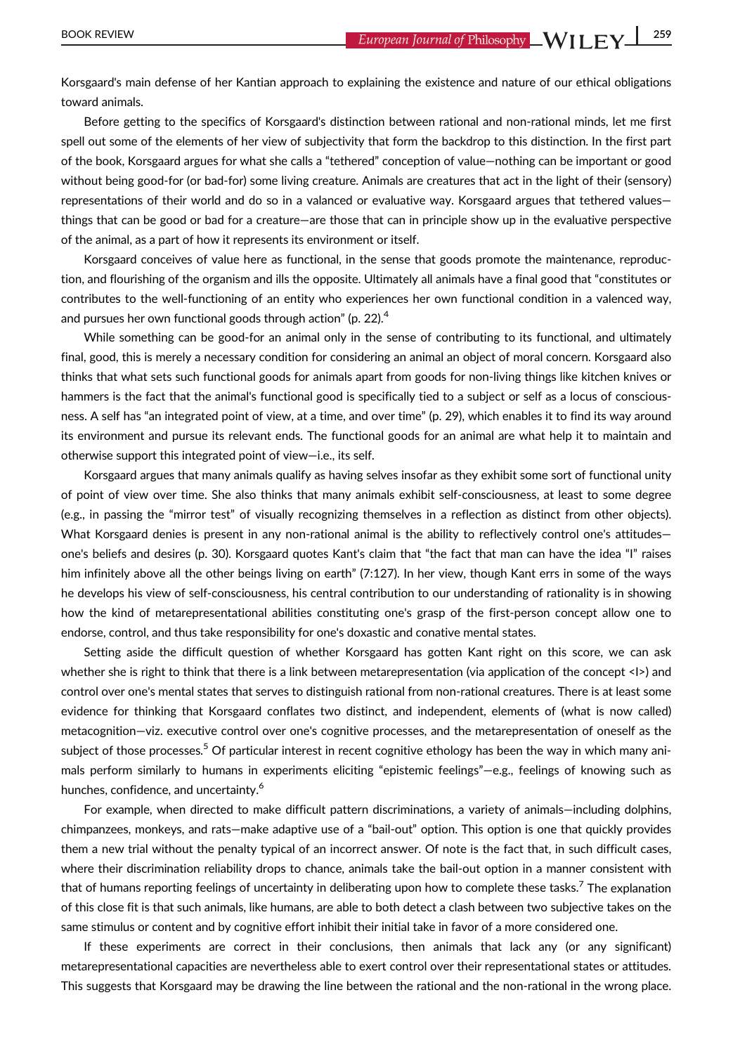Korsgaard's main defense of her Kantian approach to explaining the existence and nature of our ethical obligations toward animals.

Before getting to the specifics of Korsgaard's distinction between rational and non-rational minds, let me first spell out some of the elements of her view of subjectivity that form the backdrop to this distinction. In the first part of the book, Korsgaard argues for what she calls a "tethered" conception of value—nothing can be important or good without being good-for (or bad-for) some living creature. Animals are creatures that act in the light of their (sensory) representations of their world and do so in a valanced or evaluative way. Korsgaard argues that tethered values things that can be good or bad for a creature—are those that can in principle show up in the evaluative perspective of the animal, as a part of how it represents its environment or itself.

Korsgaard conceives of value here as functional, in the sense that goods promote the maintenance, reproduction, and flourishing of the organism and ills the opposite. Ultimately all animals have a final good that "constitutes or contributes to the well-functioning of an entity who experiences her own functional condition in a valenced way, and pursues her own functional goods through action" (p.  $22$ ).<sup>4</sup>

While something can be good-for an animal only in the sense of contributing to its functional, and ultimately final, good, this is merely a necessary condition for considering an animal an object of moral concern. Korsgaard also thinks that what sets such functional goods for animals apart from goods for non-living things like kitchen knives or hammers is the fact that the animal's functional good is specifically tied to a subject or self as a locus of consciousness. A self has "an integrated point of view, at a time, and over time" (p. 29), which enables it to find its way around its environment and pursue its relevant ends. The functional goods for an animal are what help it to maintain and otherwise support this integrated point of view—i.e., its self.

Korsgaard argues that many animals qualify as having selves insofar as they exhibit some sort of functional unity of point of view over time. She also thinks that many animals exhibit self-consciousness, at least to some degree (e.g., in passing the "mirror test" of visually recognizing themselves in a reflection as distinct from other objects). What Korsgaard denies is present in any non-rational animal is the ability to reflectively control one's attitudesone's beliefs and desires (p. 30). Korsgaard quotes Kant's claim that "the fact that man can have the idea "I" raises him infinitely above all the other beings living on earth" (7:127). In her view, though Kant errs in some of the ways he develops his view of self-consciousness, his central contribution to our understanding of rationality is in showing how the kind of metarepresentational abilities constituting one's grasp of the first-person concept allow one to endorse, control, and thus take responsibility for one's doxastic and conative mental states.

Setting aside the difficult question of whether Korsgaard has gotten Kant right on this score, we can ask whether she is right to think that there is a link between metarepresentation (via application of the concept <I>) and control over one's mental states that serves to distinguish rational from non-rational creatures. There is at least some evidence for thinking that Korsgaard conflates two distinct, and independent, elements of (what is now called) metacognition—viz. executive control over one's cognitive processes, and the metarepresentation of oneself as the subject of those processes.<sup>5</sup> Of particular interest in recent cognitive ethology has been the way in which many animals perform similarly to humans in experiments eliciting "epistemic feelings"—e.g., feelings of knowing such as hunches, confidence, and uncertainty.<sup>6</sup>

For example, when directed to make difficult pattern discriminations, a variety of animals—including dolphins, chimpanzees, monkeys, and rats—make adaptive use of a "bail-out" option. This option is one that quickly provides them a new trial without the penalty typical of an incorrect answer. Of note is the fact that, in such difficult cases, where their discrimination reliability drops to chance, animals take the bail-out option in a manner consistent with that of humans reporting feelings of uncertainty in deliberating upon how to complete these tasks.<sup>7</sup> The explanation of this close fit is that such animals, like humans, are able to both detect a clash between two subjective takes on the same stimulus or content and by cognitive effort inhibit their initial take in favor of a more considered one.

If these experiments are correct in their conclusions, then animals that lack any (or any significant) metarepresentational capacities are nevertheless able to exert control over their representational states or attitudes. This suggests that Korsgaard may be drawing the line between the rational and the non-rational in the wrong place.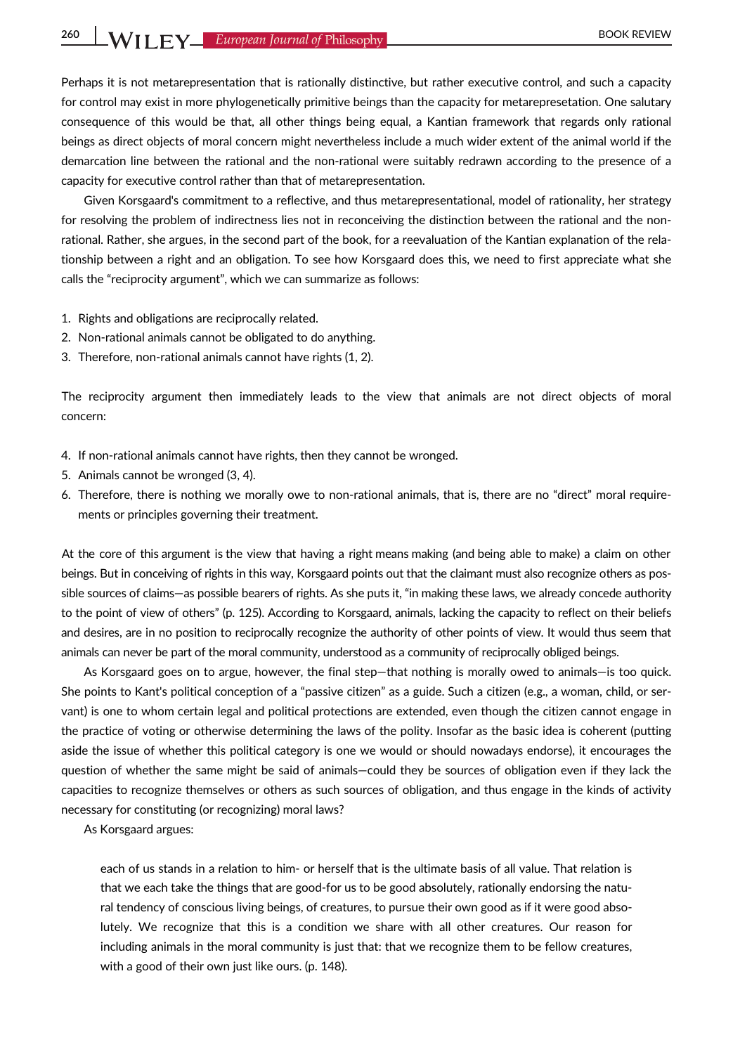Perhaps it is not metarepresentation that is rationally distinctive, but rather executive control, and such a capacity for control may exist in more phylogenetically primitive beings than the capacity for metarepresetation. One salutary consequence of this would be that, all other things being equal, a Kantian framework that regards only rational beings as direct objects of moral concern might nevertheless include a much wider extent of the animal world if the demarcation line between the rational and the non-rational were suitably redrawn according to the presence of a capacity for executive control rather than that of metarepresentation.

Given Korsgaard's commitment to a reflective, and thus metarepresentational, model of rationality, her strategy for resolving the problem of indirectness lies not in reconceiving the distinction between the rational and the nonrational. Rather, she argues, in the second part of the book, for a reevaluation of the Kantian explanation of the relationship between a right and an obligation. To see how Korsgaard does this, we need to first appreciate what she calls the "reciprocity argument", which we can summarize as follows:

- 1. Rights and obligations are reciprocally related.
- 2. Non-rational animals cannot be obligated to do anything.
- 3. Therefore, non-rational animals cannot have rights (1, 2).

The reciprocity argument then immediately leads to the view that animals are not direct objects of moral concern:

- 4. If non-rational animals cannot have rights, then they cannot be wronged.
- 5. Animals cannot be wronged (3, 4).
- 6. Therefore, there is nothing we morally owe to non-rational animals, that is, there are no "direct" moral requirements or principles governing their treatment.

At the core of this argument is the view that having a right means making (and being able to make) a claim on other beings. But in conceiving of rights in this way, Korsgaard points out that the claimant must also recognize others as possible sources of claims—as possible bearers of rights. As she puts it, "in making these laws, we already concede authority to the point of view of others" (p. 125). According to Korsgaard, animals, lacking the capacity to reflect on their beliefs and desires, are in no position to reciprocally recognize the authority of other points of view. It would thus seem that animals can never be part of the moral community, understood as a community of reciprocally obliged beings.

As Korsgaard goes on to argue, however, the final step—that nothing is morally owed to animals—is too quick. She points to Kant's political conception of a "passive citizen" as a guide. Such a citizen (e.g., a woman, child, or servant) is one to whom certain legal and political protections are extended, even though the citizen cannot engage in the practice of voting or otherwise determining the laws of the polity. Insofar as the basic idea is coherent (putting aside the issue of whether this political category is one we would or should nowadays endorse), it encourages the question of whether the same might be said of animals—could they be sources of obligation even if they lack the capacities to recognize themselves or others as such sources of obligation, and thus engage in the kinds of activity necessary for constituting (or recognizing) moral laws?

As Korsgaard argues:

each of us stands in a relation to him- or herself that is the ultimate basis of all value. That relation is that we each take the things that are good-for us to be good absolutely, rationally endorsing the natural tendency of conscious living beings, of creatures, to pursue their own good as if it were good absolutely. We recognize that this is a condition we share with all other creatures. Our reason for including animals in the moral community is just that: that we recognize them to be fellow creatures, with a good of their own just like ours. (p. 148).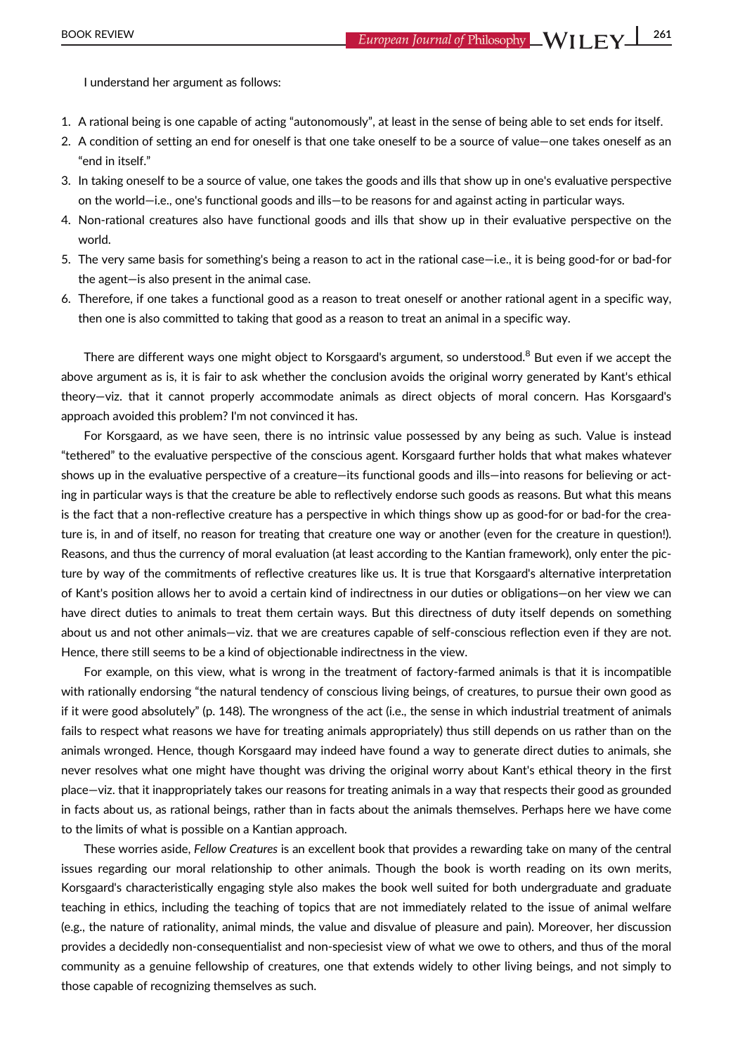I understand her argument as follows:

- 1. A rational being is one capable of acting "autonomously", at least in the sense of being able to set ends for itself.
- 2. A condition of setting an end for oneself is that one take oneself to be a source of value—one takes oneself as an "end in itself."
- 3. In taking oneself to be a source of value, one takes the goods and ills that show up in one's evaluative perspective on the world—i.e., one's functional goods and ills—to be reasons for and against acting in particular ways.
- 4. Non-rational creatures also have functional goods and ills that show up in their evaluative perspective on the world.
- 5. The very same basis for something's being a reason to act in the rational case—i.e., it is being good-for or bad-for the agent—is also present in the animal case.
- 6. Therefore, if one takes a functional good as a reason to treat oneself or another rational agent in a specific way, then one is also committed to taking that good as a reason to treat an animal in a specific way.

There are different ways one might object to Korsgaard's argument, so understood.<sup>8</sup> But even if we accept the above argument as is, it is fair to ask whether the conclusion avoids the original worry generated by Kant's ethical theory—viz. that it cannot properly accommodate animals as direct objects of moral concern. Has Korsgaard's approach avoided this problem? I'm not convinced it has.

For Korsgaard, as we have seen, there is no intrinsic value possessed by any being as such. Value is instead "tethered" to the evaluative perspective of the conscious agent. Korsgaard further holds that what makes whatever shows up in the evaluative perspective of a creature—its functional goods and ills—into reasons for believing or acting in particular ways is that the creature be able to reflectively endorse such goods as reasons. But what this means is the fact that a non-reflective creature has a perspective in which things show up as good-for or bad-for the creature is, in and of itself, no reason for treating that creature one way or another (even for the creature in question!). Reasons, and thus the currency of moral evaluation (at least according to the Kantian framework), only enter the picture by way of the commitments of reflective creatures like us. It is true that Korsgaard's alternative interpretation of Kant's position allows her to avoid a certain kind of indirectness in our duties or obligations—on her view we can have direct duties to animals to treat them certain ways. But this directness of duty itself depends on something about us and not other animals—viz. that we are creatures capable of self-conscious reflection even if they are not. Hence, there still seems to be a kind of objectionable indirectness in the view.

For example, on this view, what is wrong in the treatment of factory-farmed animals is that it is incompatible with rationally endorsing "the natural tendency of conscious living beings, of creatures, to pursue their own good as if it were good absolutely" (p. 148). The wrongness of the act (i.e., the sense in which industrial treatment of animals fails to respect what reasons we have for treating animals appropriately) thus still depends on us rather than on the animals wronged. Hence, though Korsgaard may indeed have found a way to generate direct duties to animals, she never resolves what one might have thought was driving the original worry about Kant's ethical theory in the first place—viz. that it inappropriately takes our reasons for treating animals in a way that respects their good as grounded in facts about us, as rational beings, rather than in facts about the animals themselves. Perhaps here we have come to the limits of what is possible on a Kantian approach.

These worries aside, Fellow Creatures is an excellent book that provides a rewarding take on many of the central issues regarding our moral relationship to other animals. Though the book is worth reading on its own merits, Korsgaard's characteristically engaging style also makes the book well suited for both undergraduate and graduate teaching in ethics, including the teaching of topics that are not immediately related to the issue of animal welfare (e.g., the nature of rationality, animal minds, the value and disvalue of pleasure and pain). Moreover, her discussion provides a decidedly non-consequentialist and non-speciesist view of what we owe to others, and thus of the moral community as a genuine fellowship of creatures, one that extends widely to other living beings, and not simply to those capable of recognizing themselves as such.